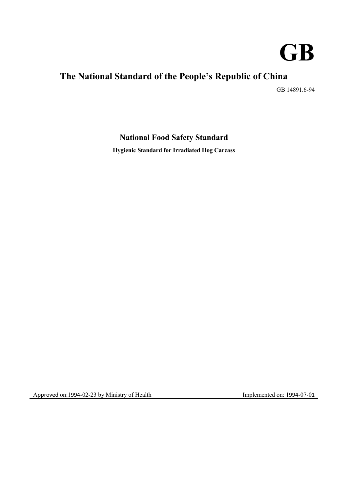

# **The National Standard of the People's Republic of China**

GB 14891.6-94

## **National Food Safety Standard**

**Hygienic Standard for Irradiated Hog Carcass**

Approved on:1994-02-23 by Ministry of Health Implemented on: 1994-07-01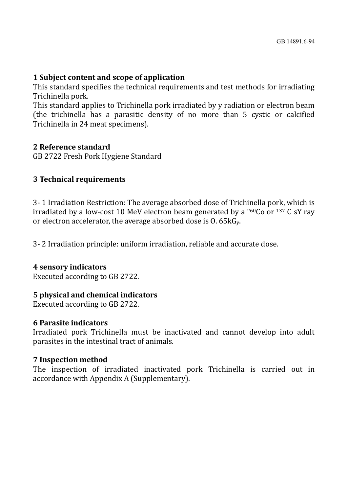### **1 Subject content and scope of application**

This standard specifies the technical requirements and test methods for irradiating Trichinella pork.

This standard applies to Trichinella pork irradiated by y radiation or electron beam (the trichinella has a parasitic density of no more than 5 cystic or calcified Trichinella in 24 meat specimens).

#### **2 Reference standard**

GB 2722 Fresh Pork Hygiene Standard

### **3 Technical requirements**

3- 1 Irradiation Restriction: The average absorbed dose of Trichinella pork, which is irradiated by a low-cost 10 MeV electron beam generated by a " $60Co$  or  $137$  C sY ray or electron accelerator, the average absorbed dose is O. 65kGy.

3- 2 Irradiation principle: uniform irradiation, reliable and accurate dose.

#### **4 sensory indicators**

Executed according to GB 2722.

### **5 physical and chemical indicators**

Executed according to GB 2722.

### **6 Parasite indicators**

Irradiated pork Trichinella must be inactivated and cannot develop into adult parasites in the intestinal tract of animals.

### **7 Inspection method**

The inspection of irradiated inactivated pork Trichinella is carried out in accordance with Appendix A (Supplementary).